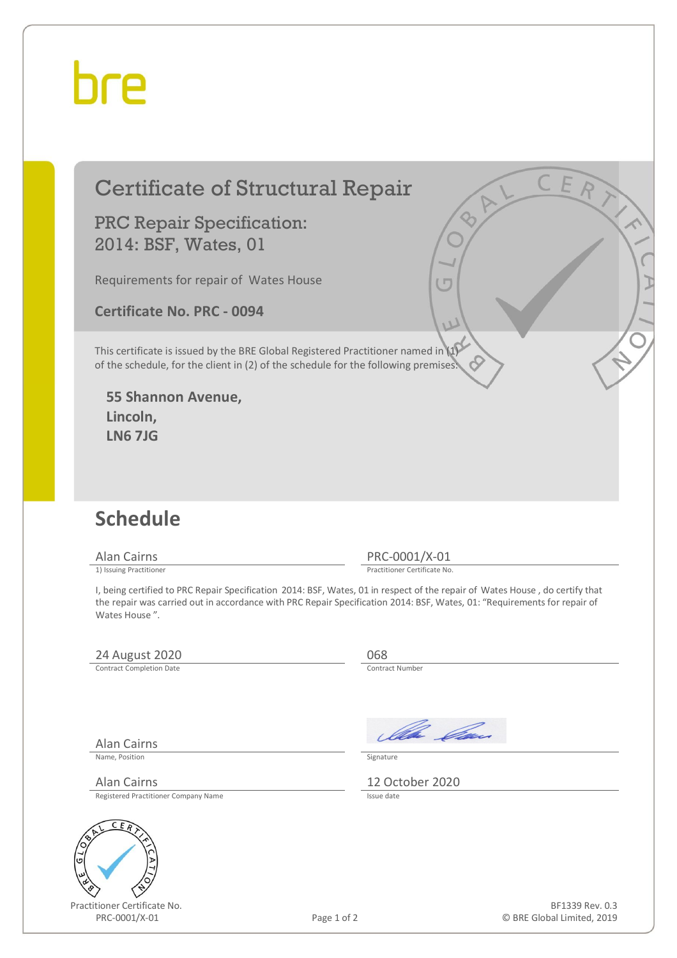## hre

### Certificate of Structural Repair

PRC Repair Specification: 2014: BSF, Wates, 01

Requirements for repair of Wates House

**Certificate No. PRC - 0094** 

This certificate is issued by the BRE Global Registered Practitioner named in (1) of the schedule, for the client in (2) of the schedule for the following premises:

**55 Shannon Avenue, Lincoln, LN6 7JG** 

#### **Schedule**

Alan Cairns PRC-0001/X-01<br>
1) Issuing Practitioner<br>
Practitioner Certificate No

Practitioner Certificate No.

I, being certified to PRC Repair Specification 2014: BSF, Wates, 01 in respect of the repair of Wates House , do certify that the repair was carried out in accordance with PRC Repair Specification 2014: BSF, Wates, 01: "Requirements for repair of Wates House ".

#### 24 August 2020<br>
Contract Completion Date

Contract Completion Date

Older *Ca*s

Name, Position Signature

Alan Cairns 12 October 2020<br>Registered Practitioner Company Name

Registered Practitioner Company Name

Alan Cairns



Practitioner Certificate No. PRC-0001/X-01 Page 1 of 2